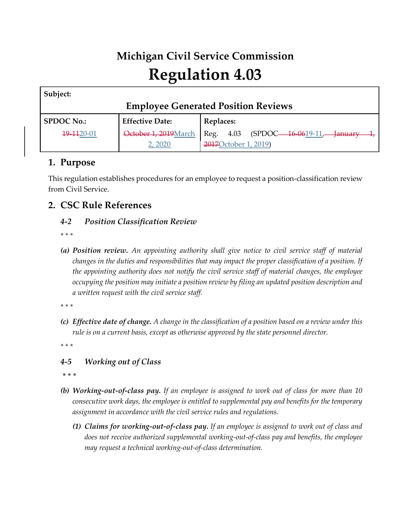# **Michigan Civil Service Commission Regulation 4.03**

| Subject:                                   |                        |                                          |
|--------------------------------------------|------------------------|------------------------------------------|
| <b>Employee Generated Position Reviews</b> |                        |                                          |
| <b>SPDOC No.:</b>                          | <b>Effective Date:</b> | Replaces:                                |
| 19-1120-01                                 | October 1, 2019 March  | Reg. 4.03<br>(SPDOC—16-0619-11,—January- |
|                                            | 2, 2020                | 2017 October 1, 2019)                    |

## **1. Purpose**

This regulation establishes procedures for an employee to request a position-classification review from Civil Service.

## **2. CSC Rule References**

#### *4-2 Position Classification Review*

- *\* \* \**
- *(a) Position review. An appointing authority shall give notice to civil service staff of material changes in the duties and responsibilities that may impact the proper classification of a position. If the appointing authority does not notify the civil service staff of material changes, the employee occupying the position may initiate a position review by filing an updated position description and a written request with the civil service staff.*

*\* \* \** 

*(c) Effective date of change. A change in the classification of a position based on a review under this rule is on a current basis, except as otherwise approved by the state personnel director.*

*\* \* \** 

#### *4-5 Working out of Class*

*\* \* \**

- *(b) Working-out-of-class pay. If an employee is assigned to work out of class for more than 10 consecutive work days, the employee is entitled to supplemental pay and benefits for the temporary assignment in accordance with the civil service rules and regulations.*
	- *(1) Claims for working-out-of-class pay. If an employee is assigned to work out of class and does not receive authorized supplemental working-out-of-class pay and benefits, the employee may request a technical working-out-of-class determination.*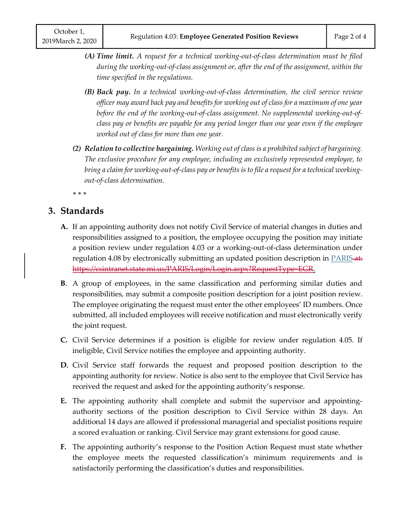- *(A) Time limit. A request for a technical working-out-of-class determination must be filed during the working-out-of-class assignment or, after the end of the assignment, within the time specified in the regulations.*
- *(B) Back pay. In a technical working-out-of-class determination, the civil service review officer may award back pay and benefits for working out of class for a maximum of one year before the end of the working-out-of-class assignment. No supplemental working-out-ofclass pay or benefits are payable for any period longer than one year even if the employee worked out of class for more than one year.*
- *(2) Relation to collective bargaining. Working out of class is a prohibited subject of bargaining. The exclusive procedure for any employee, including an exclusively represented employee, to bring a claim for working-out-of-class pay or benefits is to file a request for a technical workingout-of-class determination.*

*\* \* \**

# **3. Standards**

- **A.** If an appointing authority does not notify Civil Service of material changes in duties and responsibilities assigned to a position, the employee occupying the position may initiate a position review under regulation 4.03 or a working-out-of-class determination under regulation 4.08 by electronically submitting an updated position description in [PARIS](https://miloginworker.michigan.gov/Prod.net/PARIS/Login/Login.aspx?RequestType=EGR)-at: https://csintranet.state.mi.us/PARIS/Login/Login.aspx?RequestType=EGR.
- **B**. A group of employees, in the same classification and performing similar duties and responsibilities, may submit a composite position description for a joint position review. The employee originating the request must enter the other employees' ID numbers. Once submitted, all included employees will receive notification and must electronically verify the joint request.
- **C.** Civil Service determines if a position is eligible for review under regulation 4.05. If ineligible, Civil Service notifies the employee and appointing authority.
- **D.** Civil Service staff forwards the request and proposed position description to the appointing authority for review. Notice is also sent to the employee that Civil Service has received the request and asked for the appointing authority's response.
- **E.** The appointing authority shall complete and submit the supervisor and appointingauthority sections of the position description to Civil Service within 28 days. An additional 14 days are allowed if professional managerial and specialist positions require a scored evaluation or ranking. Civil Service may grant extensions for good cause.
- **F.** The appointing authority's response to the Position Action Request must state whether the employee meets the requested classification's minimum requirements and is satisfactorily performing the classification's duties and responsibilities.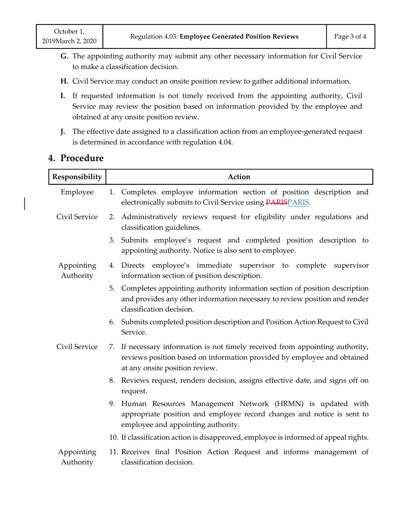- **G.** The appointing authority may submit any other necessary information for Civil Service to make a classification decision.
- **H.** Civil Service may conduct an onsite position review to gather additional information.
- **I.** If requested information is not timely received from the appointing authority, Civil Service may review the position based on information provided by the employee and obtained at any onsite position review.
- **J.** The effective date assigned to a classification action from an employee-generated request is determined in accordance with regulation 4.04.

| Responsibility          | Action                                                                                                                                                                                     |  |  |
|-------------------------|--------------------------------------------------------------------------------------------------------------------------------------------------------------------------------------------|--|--|
| Employee                | Completes employee information section of position description and<br>1.<br>electronically submits to Civil Service using PARISPARIS.                                                      |  |  |
| Civil Service           | 2. Administratively reviews request for eligibility under regulations and<br>classification guidelines.                                                                                    |  |  |
|                         | 3. Submits employee's request and completed position description to<br>appointing authority. Notice is also sent to employee.                                                              |  |  |
| Appointing<br>Authority | 4. Directs employee's immediate supervisor to complete<br>supervisor<br>information section of position description.                                                                       |  |  |
|                         | Completes appointing authority information section of position description<br>5.<br>and provides any other information necessary to review position and render<br>classification decision. |  |  |
|                         | 6. Submits completed position description and Position Action Request to Civil<br>Service.                                                                                                 |  |  |
| Civil Service           | 7. If necessary information is not timely received from appointing authority,<br>reviews position based on information provided by employee and obtained<br>at any onsite position review. |  |  |
|                         | Reviews request, renders decision, assigns effective date, and signs off on<br>8.<br>request.                                                                                              |  |  |
|                         | Human Resources Management Network (HRMN) is updated with<br>9.<br>appropriate position and employee record changes and notice is sent to<br>employee and appointing authority.            |  |  |
|                         | 10. If classification action is disapproved, employee is informed of appeal rights.                                                                                                        |  |  |
| Appointing<br>Authority | 11. Receives final Position Action Request and informs management of<br>classification decision.                                                                                           |  |  |

#### **4. Procedure**